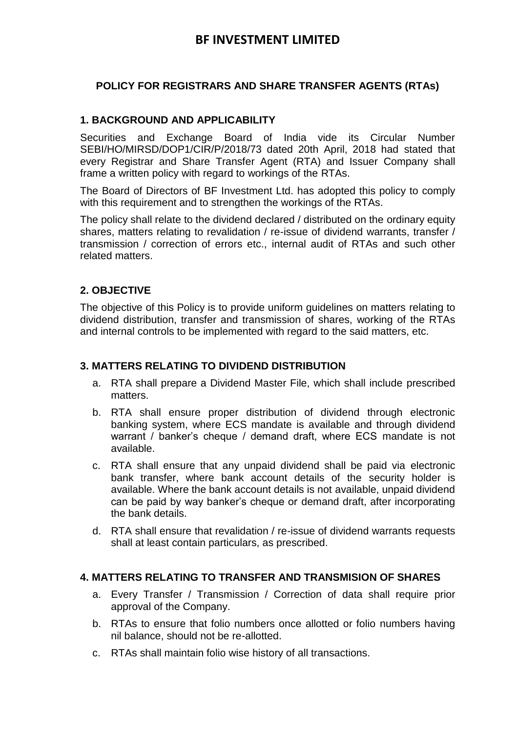# **BF INVESTMENT LIMITED**

# **POLICY FOR REGISTRARS AND SHARE TRANSFER AGENTS (RTAs)**

### **1. BACKGROUND AND APPLICABILITY**

Securities and Exchange Board of India vide its Circular Number SEBI/HO/MIRSD/DOP1/CIR/P/2018/73 dated 20th April, 2018 had stated that every Registrar and Share Transfer Agent (RTA) and Issuer Company shall frame a written policy with regard to workings of the RTAs.

The Board of Directors of BF Investment Ltd. has adopted this policy to comply with this requirement and to strengthen the workings of the RTAs.

The policy shall relate to the dividend declared / distributed on the ordinary equity shares, matters relating to revalidation / re-issue of dividend warrants, transfer / transmission / correction of errors etc., internal audit of RTAs and such other related matters.

### **2. OBJECTIVE**

The objective of this Policy is to provide uniform guidelines on matters relating to dividend distribution, transfer and transmission of shares, working of the RTAs and internal controls to be implemented with regard to the said matters, etc.

#### **3. MATTERS RELATING TO DIVIDEND DISTRIBUTION**

- a. RTA shall prepare a Dividend Master File, which shall include prescribed matters.
- b. RTA shall ensure proper distribution of dividend through electronic banking system, where ECS mandate is available and through dividend warrant / banker's cheque / demand draft, where ECS mandate is not available.
- c. RTA shall ensure that any unpaid dividend shall be paid via electronic bank transfer, where bank account details of the security holder is available. Where the bank account details is not available, unpaid dividend can be paid by way banker's cheque or demand draft, after incorporating the bank details.
- d. RTA shall ensure that revalidation / re-issue of dividend warrants requests shall at least contain particulars, as prescribed.

#### **4. MATTERS RELATING TO TRANSFER AND TRANSMISION OF SHARES**

- a. Every Transfer / Transmission / Correction of data shall require prior approval of the Company.
- b. RTAs to ensure that folio numbers once allotted or folio numbers having nil balance, should not be re-allotted.
- c. RTAs shall maintain folio wise history of all transactions.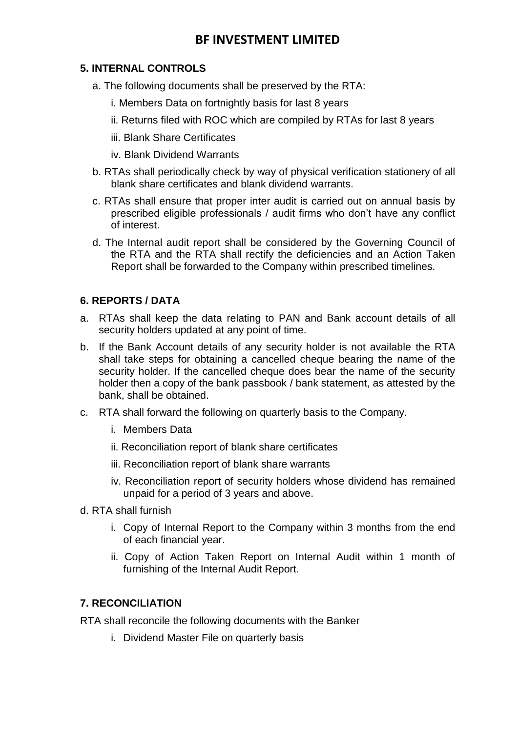# **BF INVESTMENT LIMITED**

# **5. INTERNAL CONTROLS**

- a. The following documents shall be preserved by the RTA:
	- i. Members Data on fortnightly basis for last 8 years
	- ii. Returns filed with ROC which are compiled by RTAs for last 8 years
	- iii. Blank Share Certificates
	- iv. Blank Dividend Warrants
- b. RTAs shall periodically check by way of physical verification stationery of all blank share certificates and blank dividend warrants.
- c. RTAs shall ensure that proper inter audit is carried out on annual basis by prescribed eligible professionals / audit firms who don't have any conflict of interest.
- d. The Internal audit report shall be considered by the Governing Council of the RTA and the RTA shall rectify the deficiencies and an Action Taken Report shall be forwarded to the Company within prescribed timelines.

## **6. REPORTS / DATA**

- a. RTAs shall keep the data relating to PAN and Bank account details of all security holders updated at any point of time.
- b. If the Bank Account details of any security holder is not available the RTA shall take steps for obtaining a cancelled cheque bearing the name of the security holder. If the cancelled cheque does bear the name of the security holder then a copy of the bank passbook / bank statement, as attested by the bank, shall be obtained.
- c. RTA shall forward the following on quarterly basis to the Company.
	- i. Members Data
	- ii. Reconciliation report of blank share certificates
	- iii. Reconciliation report of blank share warrants
	- iv. Reconciliation report of security holders whose dividend has remained unpaid for a period of 3 years and above.
- d. RTA shall furnish
	- i. Copy of Internal Report to the Company within 3 months from the end of each financial year.
	- ii. Copy of Action Taken Report on Internal Audit within 1 month of furnishing of the Internal Audit Report.

## **7. RECONCILIATION**

RTA shall reconcile the following documents with the Banker

i. Dividend Master File on quarterly basis